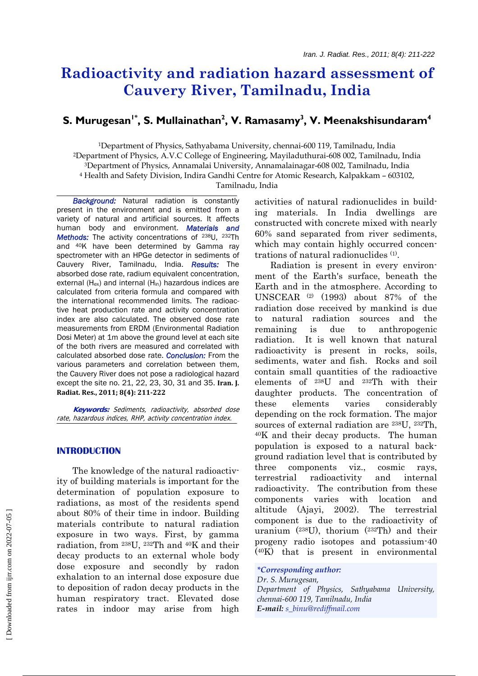# **Radioactivity and radiation hazard assessment of Cauvery River, Tamilnadu, India**

# S. Murugesan<sup>1\*</sup>, S. Mullainathan<sup>2</sup>, V. Ramasamy<sup>3</sup>, V. Meenakshisundaram<sup>4</sup>

1Department of Physics, Sathyabama University, chennai-600 119, Tamilnadu, India 2Department of Physics, A.V.C College of Engineering, Mayiladuthurai-608 002, Tamilnadu, India 3Department of Physics, Annamalai University, Annamalainagar-608 002, Tamilnadu, India 4 Health and Safety Division, Indira Gandhi Centre for Atomic Research, Kalpakkam – 603102, Tamilnadu, India

 *Background:* Natural radiation is constantly present in the environment and is emitted from a variety of natural and artificial sources. It affects human body and environment. *Materials and Methods:* The activity concentrations of 238U, 232Th and 40K have been determined by Gamma ray spectrometer with an HPGe detector in sediments of Cauvery River, Tamilnadu, India. *Results:* The absorbed dose rate, radium equivalent concentration, external ( $H_{ex}$ ) and internal ( $H_{in}$ ) hazardous indices are calculated from criteria formula and compared with the international recommended limits. The radioactive heat production rate and activity concentration index are also calculated. The observed dose rate measurements from ERDM (Environmental Radiation Dosi Meter) at 1m above the ground level at each site of the both rivers are measured and correlated with calculated absorbed dose rate. *Conclusion:* From the various parameters and correlation between them, the Cauvery River does not pose a radiological hazard except the site no. 21, 22, 23, 30, 31 and 35. **Iran. J. Radiat. Res., 2011; 8(4): 211222**

 **Keywords:** Sediments, radioactivity, absorbed dose rate, hazardous indices, RHP, activity concentration index.

# **INTRODUCTION**

The knowledge of the natural radioactivity of building materials is important for the determination of population exposure to radiations, as most of the residents spend about 80% of their time in indoor. Building materials contribute to natural radiation exposure in two ways. First, by gamma radiation, from 238U, 232Th and 40K and their decay products to an external whole body dose exposure and secondly by radon exhalation to an internal dose exposure due to deposition of radon decay products in the human respiratory tract. Elevated dose rates in indoor may arise from high activities of natural radionuclides in building materials. In India dwellings are constructed with concrete mixed with nearly 60% sand separated from river sediments, which may contain highly occurred concentrations of natural radionuclides (1).

Radiation is present in every environment of the Earth's surface, beneath the Earth and in the atmosphere. According to UNSCEAR (2) (1993) about 87% of the radiation dose received by mankind is due to natural radiation sources and the remaining is due to anthropogenic radiation. It is well known that natural radioactivity is present in rocks, soils, sediments, water and fish. Rocks and soil contain small quantities of the radioactive elements of 238U and 232Th with their daughter products. The concentration of these elements varies considerably depending on the rock formation. The major sources of external radiation are 238U, 232Th, 40K and their decay products. The human population is exposed to a natural background radiation level that is contributed by three components viz., cosmic rays, terrestrial radioactivity and internal radioactivity. The contribution from these components varies with location and altitude (Ajayi, 2002). The terrestrial component is due to the radioactivity of uranium (238U), thorium (232Th) and their progeny radio isotopes and potassium-40 (40K) that is present in environmental

#### *\*Corresponding author:*

*Dr. S. Murugesan, Department of Physics, Sathyabama University, chennai-600 119, Tamilnadu, India E-mail: s\_binu@rediffmail.com*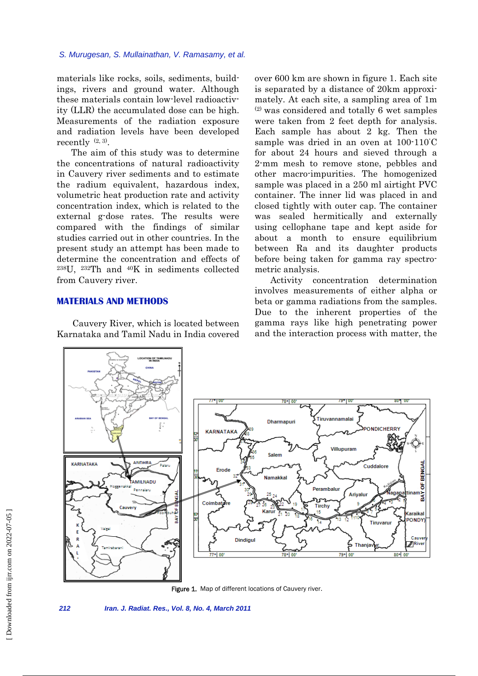materials like rocks, soils, sediments, buildings, rivers and ground water. Although these materials contain low-level radioactivity (LLR) the accumulated dose can be high. Measurements of the radiation exposure and radiation levels have been developed recently  $(2, 3)$ .

The aim of this study was to determine the concentrations of natural radioactivity in Cauvery river sediments and to estimate the radium equivalent, hazardous index, volumetric heat production rate and activity concentration index, which is related to the external g-dose rates. The results were compared with the findings of similar studies carried out in other countries. In the present study an attempt has been made to determine the concentration and effects of 238U, 232Th and 40K in sediments collected from Cauvery river.

# **MATERIALS AND METHODS**

Cauvery River, which is located between Karnataka and Tamil Nadu in India covered over 600 km are shown in figure 1. Each site is separated by a distance of 20km approximately. At each site, a sampling area of 1m (2) was considered and totally 6 wet samples were taken from 2 feet depth for analysis. Each sample has about 2 kg. Then the sample was dried in an oven at 100-110˚ C for about 24 hours and sieved through a 2-mm mesh to remove stone, pebbles and other macro-impurities. The homogenized sample was placed in a 250 ml airtight PVC container. The inner lid was placed in and closed tightly with outer cap. The container was sealed hermitically and externally using cellophane tape and kept aside for about a month to ensure equilibrium between Ra and its daughter products before being taken for gamma ray spectrometric analysis.

Activity concentration determination involves measurements of either alpha or beta or gamma radiations from the samples. Due to the inherent properties of the gamma rays like high penetrating power and the interaction process with matter, the





*212 Iran. J. Radiat. Res., Vol. 8, No. 4, March 2011*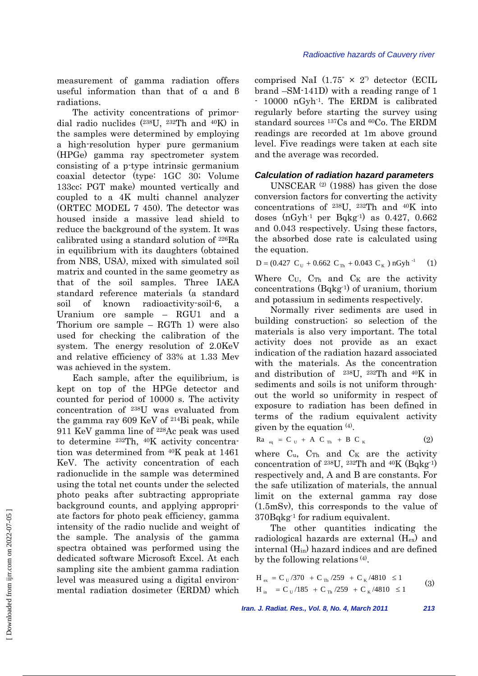measurement of gamma radiation offers useful information than that of α and β radiations.

The activity concentrations of primordial radio nuclides (238U, 232Th and 40K) in the samples were determined by employing a high-resolution hyper pure germanium (HPGe) gamma ray spectrometer system consisting of a p-type intrinsic germanium coaxial detector (type: 1GC 30; Volume 133cc; PGT make) mounted vertically and coupled to a 4K multi channel analyzer (ORTEC MODEL 7 450). The detector was housed inside a massive lead shield to reduce the background of the system. It was calibrated using a standard solution of 226Ra in equilibrium with its daughters (obtained from NBS, USA), mixed with simulated soil matrix and counted in the same geometry as that of the soil samples. Three IAEA standard reference materials (a standard soil of known radioactivity-soil-6, a Uranium ore sample – RGU1 and a Thorium ore sample – RGTh 1) were also used for checking the calibration of the system. The energy resolution of 2.0KeV and relative efficiency of 33% at 1.33 Mev was achieved in the system.

Each sample, after the equilibrium, is kept on top of the HPGe detector and counted for period of 10000 s. The activity concentration of 238U was evaluated from the gamma ray 609 KeV of 214Bi peak, while 911 KeV gamma line of 228Ac peak was used to determine 232Th, 40K activity concentration was determined from 40K peak at 1461 KeV. The activity concentration of each radionuclide in the sample was determined using the total net counts under the selected photo peaks after subtracting appropriate background counts, and applying appropriate factors for photo peak efficiency, gamma intensity of the radio nuclide and weight of the sample. The analysis of the gamma spectra obtained was performed using the dedicated software Microsoft Excel. At each sampling site the ambient gamma radiation level was measured using a digital environmental radiation dosimeter (ERDM) which

comprised NaI  $(1.75" \times 2")$  detector (ECIL brand –SM-141D) with a reading range of 1 - 10000 nGyh-1. The ERDM is calibrated regularly before starting the survey using standard sources 137Cs and 60Co. The ERDM readings are recorded at 1m above ground level. Five readings were taken at each site and the average was recorded.

#### *Calculation of radiation hazard parameters*

UNSCEAR (2) (1988) has given the dose conversion factors for converting the activity concentrations of 238U, 232Th and 40K into doses  $(nGyh<sup>-1</sup>$  per Bqkg<sup>-1</sup>) as 0.427, 0.662 and 0.043 respectively. Using these factors, the absorbed dose rate is calculated using the equation.

 $D = (0.427 \text{ C}_U + 0.662 \text{ C}_{Th} + 0.043 \text{ C}_K) \text{ nGyh}^{-1}$  (1)

Where  $C_U$ ,  $C_{Th}$  and  $C_K$  are the activity concentrations (Bqkg-1) of uranium, thorium and potassium in sediments respectively.

Normally river sediments are used in building construction; so selection of the materials is also very important. The total activity does not provide as an exact indication of the radiation hazard associated with the materials. As the concentration and distribution of 238U, 232Th and 40K in sediments and soils is not uniform throughout the world so uniformity in respect of exposure to radiation has been defined in terms of the radium equivalent activity given by the equation  $(4)$ .

$$
\text{Ra}_{eq} = \text{C}_{U} + \text{A} \text{C}_{Th} + \text{B} \text{C}_{K} \tag{2}
$$

where  $C_u$ ,  $C_{Th}$  and  $C_K$  are the activity concentration of 238U, 232Th and 40K (Bqkg-1) respectively and, A and B are constants. For the safe utilization of materials, the annual limit on the external gamma ray dose (1.5mSv), this corresponds to the value of 370Bqkg-1 for radium equivalent.

The other quantities indicating the radiological hazards are external (Hex) and internal  $(H_{in})$  hazard indices and are defined by the following relations  $(4)$ .

$$
H_{ex} = C_U/370 + C_{Th}/259 + C_K/4810 \le 1
$$
  
\n
$$
H_{in} = C_U/185 + C_{Th}/259 + C_K/4810 \le 1
$$
 (3)

*Iran. J. Radiat. Res., Vol. 8, No. 4, March 2011 213* 

 [\[ Downloaded from ijrr.com on 2022-07-0](https://ijrr.com/article-1-683-en.html)5 ] Downloaded from ijrr.com on 2022-07-05 ]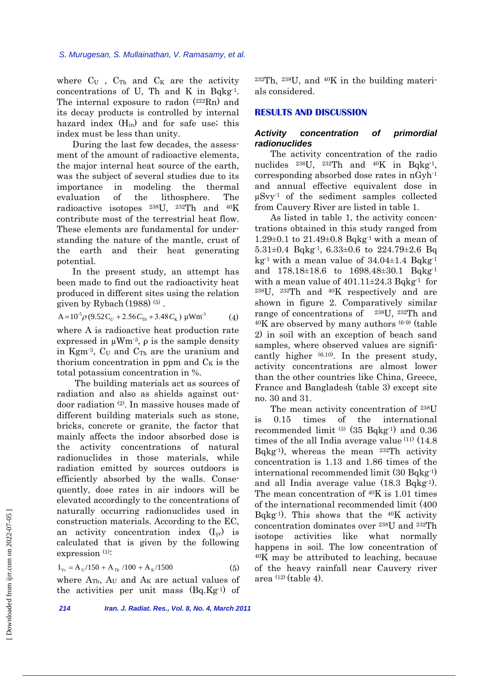where  $C_U$ ,  $C_{Th}$  and  $C_K$  are the activity concentrations of U, Th and K in Bqkg<sup>-1</sup>. The internal exposure to radon  $(222Rn)$  and its decay products is controlled by internal hazard index  $(H_{in})$  and for safe use; this index must be less than unity.

During the last few decades, the assessment of the amount of radioactive elements, the major internal heat source of the earth, was the subject of several studies due to its importance in modeling the thermal evaluation of the lithosphere. The radioactive isotopes 238U, 232Th and 40K contribute most of the terrestrial heat flow. These elements are fundamental for understanding the nature of the mantle, crust of the earth and their heat generating potential.

In the present study, an attempt has been made to find out the radioactivity heat produced in different sites using the relation given by Rybach  $(1988)^{(5)}$ .

$$
A = 10^{5} \rho (9.52 C_U + 2.56 C_{Th} + 3.48 C_K) \mu W m^3
$$
 (4)

where A is radioactive heat production rate expressed in  $\mu Wm^{-3}$ ,  $\rho$  is the sample density in Kgm<sup>-3</sup>,  $C_U$  and  $C_{Th}$  are the uranium and thorium concentration in ppm and  $C_K$  is the total potassium concentration in %.

The building materials act as sources of radiation and also as shields against outdoor radiation (2). In massive houses made of different building materials such as stone, bricks, concrete or granite, the factor that mainly affects the indoor absorbed dose is the activity concentrations of natural radionuclides in those materials, while radiation emitted by sources outdoors is efficiently absorbed by the walls. Consequently, dose rates in air indoors will be elevated accordingly to the concentrations of naturally occurring radionuclides used in construction materials. According to the EC, an activity concentration index  $(I_{vr})$  is calculated that is given by the following expression (1):

$$
I_{Yr} = A_U / 150 + A_{Th} / 100 + A_K / 1500
$$
 (5)

where  $A_{Th}$ ,  $A_U$  and  $A_K$  are actual values of the activities per unit mass  $(Bq.Kg<sup>-1</sup>)$  of  $232Th$ ,  $238U$ , and  $40K$  in the building materials considered.

# **RESULTS AND DISCUSSION**

# *Activity concentration of primordial radionuclides*

The activity concentration of the radio nuclides  $^{238}U$ ,  $^{232}Th$  and  $^{40}K$  in Bqkg<sup>-1</sup>, corresponding absorbed dose rates in nGyh-1 and annual effective equivalent dose in  $\mu S$ vy<sup>-1</sup> of the sediment samples collected from Cauvery River are listed in table 1.

As listed in table 1, the activity concentrations obtained in this study ranged from 1.29 $\pm$ 0.1 to 21.49 $\pm$ 0.8 Bqkg<sup>-1</sup> with a mean of 5.31 $\pm$ 0.4 Bqkg<sup>-1</sup>, 6.33 $\pm$ 0.6 to 224.79 $\pm$ 2.6 Bq kg<sup>-1</sup> with a mean value of  $34.04\pm1.4$  Bqkg<sup>-1</sup> and 178.18±18.6 to 1698.48±30.1 Bqkg-1 with a mean value of  $401.11\pm24.3$  Bqkg<sup>-1</sup> for 238U, 232Th and 40K respectively and are shown in figure 2. Comparatively similar range of concentrations of 238U, 232Th and  $40K$  are observed by many authors  $(6-9)$  (table 2) in soil with an exception of beach sand samples, where observed values are significantly higher  $(6,10)$ . In the present study, activity concentrations are almost lower than the other countries like China, Greece, France and Bangladesh (table 3) except site no. 30 and 31.

The mean activity concentration of 238U is 0.15 times of the international recommended limit (3) (35 Bqkg-1) and 0.36 times of the all India average value  $(11)$   $(14.8)$ Bqkg<sup>-1</sup>), whereas the mean  $^{232}$ Th activity concentration is 1.13 and 1.86 times of the international recommended limit (30 Bqkg-1) and all India average value  $(18.3 \text{ Bqkg}^1)$ . The mean concentration of 40K is 1.01 times of the international recommended limit (400 Bqkg<sup>-1</sup>). This shows that the  $40K$  activity concentration dominates over 238U and 232Th isotope activities like what normally happens in soil. The low concentration of 40K may be attributed to leaching, because of the heavy rainfall near Cauvery river area  $(12)$  (table 4).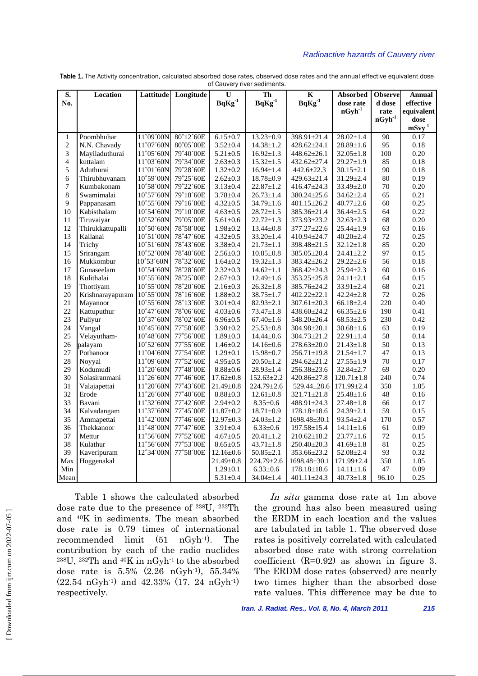#### *Radioactive hazards of Cauvery river*

| S.                      | Location         | Lattitude          | Longitude | U               | Th                          | $\mathbf K$        | <b>Absorbed</b>  | <b>Observe</b> | <b>Annual</b> |
|-------------------------|------------------|--------------------|-----------|-----------------|-----------------------------|--------------------|------------------|----------------|---------------|
| No.                     |                  |                    |           | $BqKg^{-1}$     | $\mathbf{BqKg}^{\text{-}1}$ | $BqKg^{-1}$        | dose rate        | d dose         | effective     |
|                         |                  |                    |           |                 |                             |                    | $nGyh^{-1}$      | rate           | equivalent    |
|                         |                  |                    |           |                 |                             |                    |                  | $nGyh^{-1}$    | dose          |
|                         |                  |                    |           |                 |                             |                    |                  |                | $mSvy-1$      |
| 1                       | Poombhuhar       | 11°09'00N          | 80°12'60E | $6.15 \pm 0.7$  | $13.23 \pm 0.9$             | 398.91±21.4        | $28.02 \pm 1.4$  | 90             | 0.17          |
| $\overline{c}$          | N.N. Chavady     | 11°07'60N          | 80°05'00E | $3.52 \pm 0.4$  | $14.38 \pm 1.2$             | $428.62 \pm 24.1$  | $28.89 \pm 1.6$  | 95             | 0.18          |
| 3                       | Mayiladuthurai   | 11°05'60N          | 79°40'00E | $5.21 \pm 0.5$  | $16.92 \pm 1.3$             | $448.62 \pm 26.1$  | $32.05 \pm 1.8$  | 100            | 0.20          |
| $\overline{\mathbf{4}}$ | kuttalam         | 11°03'60N          | 79°34′00E | $2.63 \pm 0.3$  | $15.32 \pm 1.5$             | $432.62 \pm 27.4$  | $29.27 \pm 1.9$  | 85             | 0.18          |
| 5                       | Aduthurai        | 11°01'60N          | 79°28'60E | $1.32 \pm 0.2$  | $16.94 \pm 1.4$             | $442.6 \pm 22.3$   | $30.15 \pm 2.1$  | 90             | 0.18          |
| 6                       | Thirubhuvanam    | 10°59'00N          | 79°25'60E | $2.62 \pm 0.3$  | $18.78 \pm 0.9$             | $429.63 \pm 21.4$  | $31.29 \pm 2.4$  | 80             | 0.19          |
| 7                       | Kumbakonam       | 10°58'00N          | 79°22'60E | $3.13 \pm 0.4$  | $22.87 \pm 1.2$             | $416.47 \pm 24.3$  | $33.49 \pm 2.0$  | 70             | 0.20          |
| 8                       | Swamimalai       | 10°57'60N          | 79°18'60E | $3.78 \pm 0.4$  | $26.73 \pm 1.4$             | 380.24±25.6        | $34.62 \pm 2.4$  | 65             | 0.21          |
| 9                       | Pappanasam       | 10°55'60N          | 79°16'00E | $4.32 \pm 0.5$  | $34.79 \pm 1.6$             | $401.15 \pm 26.2$  | $40.77 \pm 2.6$  | 60             | 0.25          |
| 10                      | Kabisthalam      | 10°54'60N          | 79°10'00E | $4.63 \pm 0.5$  | $28.72 \pm 1.5$             | 385.36±21.4        | $36.44 \pm 2.5$  | 64             | 0.22          |
| 11                      | Tiruvaiyar       | $10^{\circ}52'60N$ | 79°05'00E | $5.61 \pm 0.6$  | $22.72 \pm 1.3$             | 373.93±23.2        | $32.63 \pm 2.3$  | 68             | 0.20          |
| 12                      | Thirukkattupalli | 10°50'60N          | 78°58'00E | $1.98 \pm 0.2$  | $13.44 \pm 0.8$             | $377.27 \pm 22.6$  | $25.44 \pm 1.9$  | 63             | 0.16          |
| 13                      | Kallanai         | 10°51′00N          | 78°47'60E | $4.32 \pm 0.5$  | $33.20 \pm 1.4$             | $410.94 \pm 24.7$  | $40.20 \pm 2.4$  | 72             | 0.25          |
| 14                      | Trichy           | 10°51'60N          | 78°43'60E | $3.38 \pm 0.4$  | $21.73 \pm 1.1$             | 398.48±21.5        | $32.12 \pm 1.8$  | 85             | 0.20          |
| 15                      | Srirangam        | 10°52′00N          | 78°40'60E | $2.56 \pm 0.3$  | $10.85 \pm 0.8$             | 385.05±20.4        | $24.41 \pm 2.2$  | 97             | 0.15          |
| 16                      | Mukkombur        | 10°53'60N          | 78°32'60E | $1.64 \pm 0.2$  | $19.32 \pm 1.3$             | 383.42±26.2        | $29.22 \pm 2.6$  | 56             | 0.18          |
| 17                      | Gunaseelam       | 10°54'60N          | 78°28'60E | $2.32 \pm 0.3$  | $14.62 \pm 1.1$             | 368.42±24.3        | $25.94 \pm 2.3$  | 60             | 0.16          |
| 18                      | Kulithalai       | 10°55'60N          | 78°25'00E | $2.67 \pm 0.3$  | $12.49 \pm 1.6$             | $353.25 \pm 25.8$  | $24.11 \pm 2.1$  | 64             | 0.15          |
| 19                      | Thottiyam        | 10°55'00N          | 78°20'60E | $2.16 \pm 0.3$  | $26.32 \pm 1.8$             | 385.76±24.2        | $33.91 \pm 2.4$  | 68             | 0.21          |
| 20                      | Krishnarayapuram | 10°55'00N          | 78°16'60E | $1.88 \pm 0.2$  | $38.75 \pm 1.7$             | $402.22 \pm 22.1$  | $42.24 \pm 2.8$  | 72             | 0.26          |
| 21                      | Mayanoor         | 10°55'60N          | 78°13'60E | $3.01 \pm 0.4$  | $82.93 \pm 2.1$             | $307.61 \pm 20.3$  | $66.18 \pm 2.4$  | 220            | 0.40          |
| 22                      | Kattuputhur      | 10°47'60N          | 78°06'60E | $4.03 \pm 0.6$  | $73.47 \pm 1.8$             | $438.60 \pm 24.2$  | $66.35 \pm 2.6$  | 190            | 0.41          |
| 23                      | Puliyur          | 10°37'60N          | 78°02'60E | $6.96 \pm 0.5$  | $67.40 \pm 1.6$             | $548.20 \pm 26.4$  | $68.53 \pm 2.5$  | 230            | 0.42          |
| 24                      | Vangal           | 10°45'60N          | 77°58'60E | $3.90 \pm 0.2$  | $25.53 \pm 0.8$             | $304.98 \pm 20.1$  | $30.68 \pm 1.6$  | 63             | 0.19          |
| 25                      | Velayutham-      | 10°48'60N          | 77°56'00E | $1.89 \pm 0.3$  | $14.44 \pm 0.6$             | 304.73±21.2        | $22.91 \pm 1.4$  | 58             | 0.14          |
| 26                      | palayam          | 10°52'60N          | 77°55'60E | $1.46 \pm 0.2$  | $14.16 \pm 0.6$             | $278.63 \pm 20.0$  | $21.43 \pm 1.8$  | 50             | 0.13          |
| 27                      | Pothanoor        | 11°04'60N          | 77°54'60E | $1.29 \pm 0.1$  | $15.98 \pm 0.7$             | $256.71 \pm 19.8$  | $21.54 \pm 1.7$  | 47             | 0.13          |
| 28                      | Noyyal           | 11°09'60N          | 77°52'60E | $4.95 \pm 0.5$  | $20.50 \pm 1.2$             | 294.62±21.2        | $27.55 \pm 1.9$  | 70             | 0.17          |
| 29                      | Kodumudi         | 11°20'60N          | 77°48′00E | $8.88 \pm 0.6$  | $28.93 \pm 1.4$             | $256.38 \pm 23.6$  | $32.84 \pm 2.7$  | 69             | 0.20          |
| 30                      | Solasiranmani    | 11°26'60N          | 77°46'60E | $17.62 \pm 0.8$ | $152.63 \pm 2.2$            | $420.86 \pm 27.8$  | $120.71 \pm 1.8$ | 240            | 0.74          |
| 31                      | Valajapettai     | 11°20'60N          | 77°43'60E | $21.49 \pm 0.8$ | $224.79 \pm 2.6$            | $529.44 \pm 28.6$  | 171.99±2.4       | 350            | 1.05          |
| 32                      | Erode            | 11°26'60N          | 77°40'60E | $8.88 \pm 0.3$  | $12.61 \pm 0.8$             | $321.71 \pm 21.8$  | $25.48 \pm 1.6$  | 48             | 0.16          |
| 33                      | Bavani           | $11^{\circ}32'60N$ | 77°42′60E | $2.94 \pm 0.2$  | $8.35 \pm 0.6$              | $488.91 \pm 24.3$  | $27.48 \pm 1.8$  | 66             | 0.17          |
| 34                      | Kalvadangam      | 11°37'60N          | 77°45'00E | $11.87 \pm 0.2$ | $18.71 \pm 0.9$             | $178.18 \pm 18.6$  | $24.39 \pm 2.1$  | 59             | 0.15          |
| 35                      | Ammapettai       | 11°42'00N          | 77°46'60E | $12.97 \pm 0.3$ | $24.03 \pm 1.2$             | $1698.48 \pm 30.1$ | $93.54 \pm 2.4$  | 170            | 0.57          |
| 36                      | Thekkanoor       | 11°48'00N          | 77°47'60E | $3.91 \pm 0.4$  | $6.33 \pm 0.6$              | $197.58 \pm 15.4$  | $14.11 \pm 1.6$  | 61             | 0.09          |
| 37                      | Mettur           | 11°56'60N          | 77°52'60E | $4.67{\pm}0.5$  | $20.41 \pm 1.2$             | $210.62 \pm 18.2$  | $23.77 \pm 1.6$  | 72             | 0.15          |
| 38                      | Kulathur         | 11°56'60N          | 77°53'00E | $8.65 \pm 0.5$  | $43.71 \pm 1.8$             | $250.40 \pm 20.3$  | $41.69 \pm 1.8$  | 81             | 0.25          |
| 39                      | Kaveripuram      | 12°34'00N          | 77°58'00E | $12.16 \pm 0.6$ | $50.85 \pm 2.1$             | 353.66±23.2        | $52.08 \pm 2.4$  | 93             | 0.32          |
| Max                     | Hoggenakal       |                    |           | $21.49 \pm 0.8$ | $224.79 \pm 2.6$            | $1698.48 \pm 30.1$ | 171.99±2.4       | 350            | 1.05          |
| Min                     |                  |                    |           | $1.29 \pm 0.1$  | $6.33 \pm 0.6$              | $178.18 \pm 18.6$  | $14.11 \pm 1.6$  | 47             | 0.09          |
| Mean                    |                  |                    |           | $5.31 \pm 0.4$  | $34.04 \pm 1.4$             | $401.11 \pm 24.3$  | $40.73 \pm 1.8$  | 96.10          | 0.25          |

Table 1. The Activity concentration, calculated absorbed dose rates, observed dose rates and the annual effective equivalent dose of Cauvery river sediments.

Table 1 shows the calculated absorbed dose rate due to the presence of 238U, 232Th and 40K in sediments. The mean absorbed dose rate is 0.79 times of international recommended limit (51 nGyh-1). The contribution by each of the radio nuclides 238U, 232Th and 40K in nGyh-1 to the absorbed dose rate is 5.5% (2.26 nGyh-1), 55.34% (22.54 nGyh-1) and 42.33% (17. 24 nGyh-1) respectively.

In situ gamma dose rate at 1m above the ground has also been measured using the ERDM in each location and the values are tabulated in table 1. The observed dose rates is positively correlated with calculated absorbed dose rate with strong correlation coefficient (R=0.92) as shown in figure 3. The ERDM dose rates (observed) are nearly two times higher than the absorbed dose rate values. This difference may be due to

*Iran. J. Radiat. Res., Vol. 8, No. 4, March 2011 215*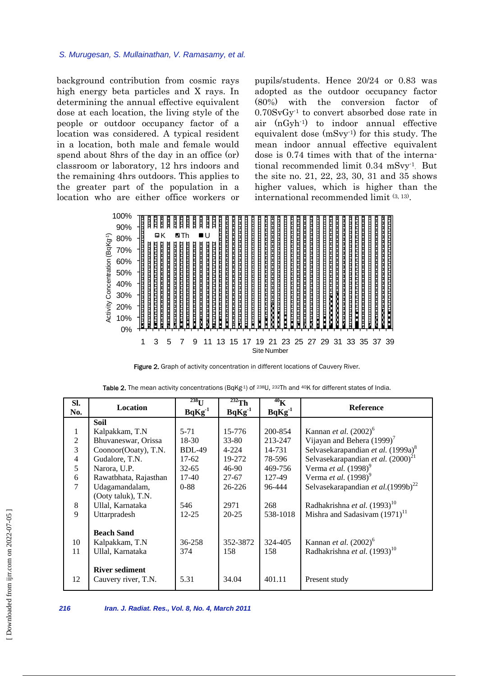background contribution from cosmic rays high energy beta particles and X rays. In determining the annual effective equivalent dose at each location, the living style of the people or outdoor occupancy factor of a location was considered. A typical resident in a location, both male and female would spend about 8hrs of the day in an office (or) classroom or laboratory, 12 hrs indoors and the remaining 4hrs outdoors. This applies to the greater part of the population in a location who are either office workers or pupils/students. Hence 20/24 or 0.83 was adopted as the outdoor occupancy factor (80%) with the conversion factor of  $0.70SvGv<sup>1</sup>$  to convert absorbed dose rate in air (nGyh-1) to indoor annual effective equivalent dose (mSvy-1) for this study. The mean indoor annual effective equivalent dose is 0.74 times with that of the international recommended limit 0.34 mSvy<sup>1</sup>. But the site no. 21, 22, 23, 30, 31 and 35 shows higher values, which is higher than the international recommended limit (3, 13).



Figure 2. Graph of activity concentration in different locations of Cauvery River.

| SI.            | Location              | $^{238}$ U    | $\overline{^{232}}$ Th     | 40 <sub>K</sub> | <b>Reference</b>                               |  |
|----------------|-----------------------|---------------|----------------------------|-----------------|------------------------------------------------|--|
| No.            |                       | $BqKg^{-1}$   | $BqKg^{-1}$<br>$BqKg^{-1}$ |                 |                                                |  |
|                | Soil                  |               |                            |                 |                                                |  |
| 1              | Kalpakkam, T.N        | $5 - 71$      | 15-776                     | 200-854         | Kannan et al. $(2002)^6$                       |  |
| $\overline{2}$ | Bhuvaneswar, Orissa   | $18-30$       | $33 - 80$                  | 213-247         | Vijayan and Behera $(1999)^7$                  |  |
| 3              | Coonoor(Ooaty), T.N.  | <b>BDL-49</b> | $4 - 224$                  | 14-731          | Selvasekarapandian et al. (1999a) <sup>8</sup> |  |
| $\overline{4}$ | Gudalore, T.N.        | $17-62$       | 19-272                     | 78-596          | Selvasekarapandian et al. $(2000)^{21}$        |  |
| 5              | Narora, U.P.          | $32 - 65$     | 46-90                      | 469-756         | Verma et al. $(1998)^9$                        |  |
| 6              | Rawatbhata, Rajasthan | $17-40$       | $27 - 67$                  | 127-49          | Verma et al. $(1998)^9$                        |  |
| 7              | Udagamandalam,        | $0 - 88$      | 26-226                     | 96-444          | Selvasekarapandian et al. $(1999b)^{22}$       |  |
|                | (Ooty taluk), T.N.    |               |                            |                 |                                                |  |
| 8              | Ullal, Karnataka      | 546           | 2971                       | 268             | Radhakrishna et al. (1993) <sup>10</sup>       |  |
| 9              | Uttarpradesh          | $12 - 25$     | $20 - 25$                  | 538-1018        | Mishra and Sadasivam $(1971)^{11}$             |  |
|                |                       |               |                            |                 |                                                |  |
|                | <b>Beach Sand</b>     |               |                            |                 |                                                |  |
| 10             | Kalpakkam, T.N        | 36-258        | 352-3872                   | 324-405         | Kannan et al. $(2002)^6$                       |  |
| 11             | Ullal, Karnataka      | 374           | 158                        | 158             | Radhakrishna et al. (1993) <sup>10</sup>       |  |
|                |                       |               |                            |                 |                                                |  |
|                | <b>River sediment</b> |               |                            |                 |                                                |  |
| 12             | Cauvery river, T.N.   | 5.31          | 34.04                      | 401.11          | Present study                                  |  |
|                |                       |               |                            |                 |                                                |  |

Table 2. The mean activity concentrations (BqKg<sup>1</sup>) of <sup>238</sup>U, <sup>232</sup>Th and <sup>40</sup>K for different states of India.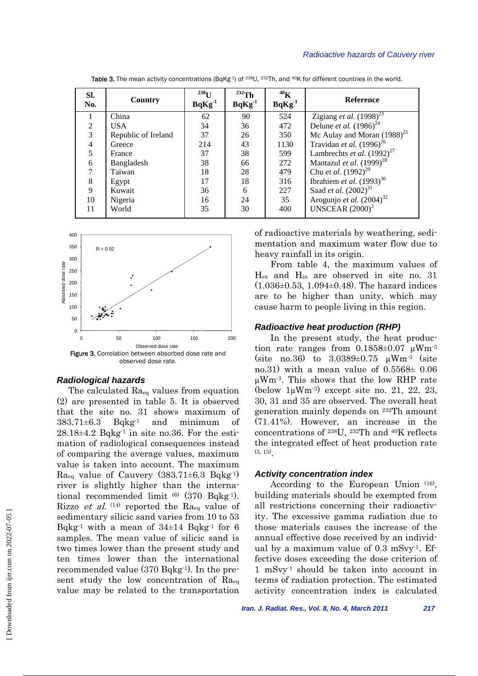#### *Radioactive hazards of Cauvery river*

| Sl.<br>No.     | Country             | $^{238}$ U<br>$BqKg-1$ | $232$ Th<br>$BqKg^{-1}$ | 40 <sub>K</sub><br>$BqKg^{-1}$ | <b>Reference</b>                   |
|----------------|---------------------|------------------------|-------------------------|--------------------------------|------------------------------------|
|                | China               | 62                     | 90                      | 524                            | Zigiang et al. $(1998)^{23}$       |
| 2              | USA.                | 34                     | 36                      | 472                            | Delune <i>et al.</i> $(1986)^{24}$ |
| 3              | Republic of Ireland | 37                     | 26                      | 350                            | Mc Aulay and Moran $(1988)^{25}$   |
| $\overline{4}$ | Greece              | 214                    | 43                      | 1130                           | Travidan et al. $(1996)^{26}$      |
| 5              | France              | 37                     | 38                      | 599                            | Lambrechts et al. $(1992)^{27}$    |
| 6              | Bangladesh          | 38                     | 66                      | 272                            | Mantazul et al. $(1999)^{28}$      |
| 7              | Taiwan              | 18                     | 28                      | 479                            | Chu et al. $(1992)^{29}$           |
| 8              | Egypt               | 17                     | 18                      | 316                            | Ibrahiem et al. $(1993)^{30}$      |
| 9              | Kuwait              | 36                     | 6                       | 227                            | Saad <i>et al.</i> $(2002)^{31}$   |
| 10             | Nigeria             | 16                     | 24                      | 35                             | Arogunjo et al. $(2004)^{32}$      |
| 11             | World               | 35                     | 30                      | 400                            | UNSCEAR $(2000)^3$                 |
|                |                     |                        |                         |                                |                                    |

Table 3. The mean activity concentrations (BqKg<sup>1</sup>) of <sup>238</sup>U, <sup>232</sup>Th, and <sup>40</sup>K for different countries in the world.



#### *Radiological hazards*

The calculated Raeq values from equation (2) are presented in table 5. It is observed that the site no. 31 shows maximum of  $383.71\pm6.3$  Bqkg<sup>-1</sup> and minimum of  $28.18\pm4.2$  Bqkg<sup>-1</sup> in site no.36. For the estimation of radiological consequences instead of comparing the average values, maximum value is taken into account. The maximum  $Ra_{eq}$  value of Cauvery (383.71 $\pm$ 6.3 Bqkg<sup>-1)</sup> river is slightly higher than the international recommended limit  $(6)$   $(370$  Bqkg<sup>-1</sup>). Rizzo *et al.*  $(14)$  reported the Ra<sub>eq</sub> value of sedimentary silicic sand varies from 10 to 53 Bqkg<sup>-1</sup> with a mean of  $34\pm14$  Bqkg<sup>-1</sup> for 6 samples. The mean value of silicic sand is two times lower than the present study and ten times lower than the international recommended value (370 Bqkg-1). In the present study the low concentration of Raeq value may be related to the transportation

of radioactive materials by weathering, sedimentation and maximum water flow due to heavy rainfall in its origin.

From table 4, the maximum values of Hex and Hin are observed in site no. 31  $(1.036\pm0.53, 1.094\pm0.48)$ . The hazard indices are to be higher than unity, which may cause harm to people living in this region.

#### *Radioactive heat production (RHP)*

In the present study, the heat production rate ranges from  $0.1858\pm0.07$   $\mu$ Wm<sup>-3</sup> (site no.36) to  $3.0389 \pm 0.75$   $\mu$ Wm<sup>-3</sup> (site no.31) with a mean value of  $0.5568 \pm 0.06$ µWm-3. This shows that the low RHP rate (below  $1\mu Wm^{-3}$ ) except site no. 21, 22, 23, 30, 31 and 35 are observed. The overall heat generation mainly depends on 232Th amount (71.41%). However, an increase in the concentrations of 238U, 232Th and 40K reflects the integrated effect of heat production rate (5, 15).

#### *Activity concentration index*

According to the European Union (16), building materials should be exempted from all restrictions concerning their radioactivity. The excessive gamma radiation due to those materials causes the increase of the annual effective dose received by an individual by a maximum value of  $0.3 \text{ mSvy}^1$ . Effective doses exceeding the dose criterion of 1 mSvy-1 should be taken into account in terms of radiation protection. The estimated activity concentration index is calculated

*Iran. J. Radiat. Res., Vol. 8, No. 4, March 2011 217*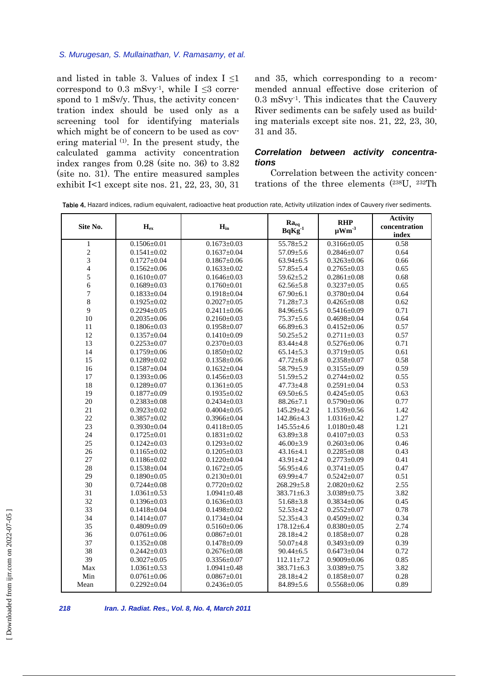and listed in table 3. Values of index I ≤1 correspond to 0.3 mSvy<sup>-1</sup>, while  $I \leq 3$  correspond to 1 mSv/y. Thus, the activity concentration index should be used only as a screening tool for identifying materials which might be of concern to be used as covering material (1). In the present study, the calculated gamma activity concentration index ranges from 0.28 (site no. 36) to 3.82 (site no. 31). The entire measured samples exhibit I<1 except site nos. 21, 22, 23, 30, 31 and 35, which corresponding to a recommended annual effective dose criterion of  $0.3$  mSvy<sup>1</sup>. This indicates that the Cauvery River sediments can be safely used as building materials except site nos. 21, 22, 23, 30, 31 and 35.

# *Correlation between activity concentrations*

Correlation between the activity concentrations of the three elements (238U, 232Th

|                         |                   |                   |                                 |                                      | <b>Activity</b> |
|-------------------------|-------------------|-------------------|---------------------------------|--------------------------------------|-----------------|
| Site No.                | $H_{ex}$          | $H_{in}$          | $Ra_{eq}$<br>BqKg <sup>-1</sup> | <b>RHP</b><br>$\mu$ Wm <sup>-3</sup> | concentration   |
|                         |                   |                   |                                 |                                      | index           |
| $\mathbf{1}$            | $0.1506 \pm 0.01$ | $0.1673 \pm 0.03$ | $55.78 \pm 5.2$                 | $0.3166 \pm 0.05$                    | 0.58            |
| $\overline{c}$          | $0.1541 \pm 0.02$ | $0.1637 \pm 0.04$ | $57.09 \pm 5.6$                 | $0.2846 \pm 0.07$                    | 0.64            |
| 3                       | $0.1727 \pm 0.04$ | $0.1867 \pm 0.06$ | $63.94 \pm 6.5$                 | $0.3263 \pm 0.06$                    | 0.66            |
| $\overline{\mathbf{4}}$ | $0.1562 \pm 0.06$ | $0.1633 \pm 0.02$ | $57.85 \pm 5.4$                 | $0.2765 \pm 0.03$                    | 0.65            |
| 5                       | $0.1610\pm0.07$   | $0.1646 \pm 0.03$ | $59.62 \pm 5.2$                 | $0.2861 \pm 0.08$                    | 0.68            |
| 6                       | $0.1689 \pm 0.03$ | $0.1760 \pm 0.01$ | $62.56 \pm 5.8$                 | $0.3237 \pm 0.05$                    | 0.65            |
| $\boldsymbol{7}$        | $0.1833 \pm 0.04$ | $0.1918 \pm 0.04$ | $67.90 \pm 6.1$                 | $0.3780 \pm 0.04$                    | 0.64            |
| $\,8\,$                 | $0.1925 \pm 0.02$ | $0.2027 \pm 0.05$ | $71.28 \pm 7.3$                 | $0.4265 \pm 0.08$                    | 0.62            |
| 9                       | $0.2294 \pm 0.05$ | $0.2411 \pm 0.06$ | 84.96±6.5                       | $0.5416 \pm 0.09$                    | 0.71            |
| 10                      | $0.2035 \pm 0.06$ | $0.2160 \pm 0.03$ | $75.37 + 5.6$                   | $0.4698 \pm 0.04$                    | 0.64            |
| 11                      | $0.1806 \pm 0.03$ | $0.1958 \pm 0.07$ | $66.89{\pm}6.3$                 | $0.4152 \pm 0.06$                    | 0.57            |
| 12                      | $0.1357 \pm 0.04$ | $0.1410\pm0.09$   | $50.25 \pm 5.2$                 | $0.2711 \pm 0.03$                    | 0.57            |
| 13                      | $0.2253 \pm 0.07$ | $0.2370 \pm 0.03$ | $83.44 \pm 4.8$                 | $0.5276 \pm 0.06$                    | 0.71            |
| 14                      | $0.1759 \pm 0.06$ | $0.1850 \pm 0.02$ | $65.14 \pm 5.3$                 | $0.3719 \pm 0.05$                    | 0.61            |
| 15                      | $0.1289 \pm 0.02$ | $0.1358 \pm 0.06$ | $47.72 \pm 6.8$                 | $0.2358 \pm 0.07$                    | 0.58            |
| 16                      | $0.1587 \pm 0.04$ | $0.1632 \pm 0.04$ | $58.79 \pm 5.9$                 | $0.3155 \pm 0.09$                    | 0.59            |
| 17                      | $0.1393 \pm 0.06$ | $0.1456 \pm 0.03$ | $51.59 \pm 5.2$                 | $0.2744 \pm 0.02$                    | 0.55            |
| 18                      | $0.1289 + 0.07$   | $0.1361 \pm 0.05$ | $47.73 \pm 4.8$                 | $0.2591 \pm 0.04$                    | 0.53            |
| 19                      | $0.1877 \pm 0.09$ | $0.1935 \pm 0.02$ | $69.50 \pm 6.5$                 | $0.4245 \pm 0.05$                    | 0.63            |
| 20                      | $0.2383 \pm 0.08$ | $0.2434 \pm 0.03$ | $88.26 \pm 7.1$                 | $0.5790 \pm 0.06$                    | 0.77            |
| 21                      | $0.3923 \pm 0.02$ | $0.4004 \pm 0.05$ | $145.29 \pm 4.2$                | $1.1539 \pm 0.56$                    | 1.42            |
| 22                      | $0.3857 \pm 0.02$ | $0.3966 \pm 0.04$ | 142.86±4.3                      | $1.0316 \pm 0.42$                    | 1.27            |
| 23                      | $0.3930 \pm 0.04$ | $0.4118 \pm 0.05$ | $145.55 \pm 4.6$                | $1.0180 \pm 0.48$                    | 1.21            |
| 24                      | $0.1725 \pm 0.01$ | $0.1831 \pm 0.02$ | $63.89 \pm 3.8$                 | $0.4107 \pm 0.03$                    | 0.53            |
| 25                      | $0.1242 \pm 0.03$ | $0.1293 \pm 0.02$ | $46.00 \pm 3.9$                 | $0.2603 \pm 0.06$                    | 0.46            |
| 26                      | $0.1165 \pm 0.02$ | $0.1205 \pm 0.03$ | $43.16 \pm 4.1$                 | $0.2285 \pm 0.08$                    | 0.43            |
| 27                      | $0.1186 \pm 0.02$ | $0.1220 \pm 0.04$ | $43.91 \pm 4.2$                 | $0.2773 \pm 0.09$                    | 0.41            |
| 28                      | $0.1538 \pm 0.04$ | $0.1672 \pm 0.05$ | $56.95 \pm 4.6$                 | $0.3741 \pm 0.05$                    | 0.47            |
| 29                      | $0.1890 \pm 0.05$ | $0.2130 \pm 0.01$ | $69.99 \pm 4.7$                 | $0.5242 \pm 0.07$                    | 0.51            |
| 30                      | $0.7244 \pm 0.08$ | $0.7720 \pm 0.02$ | $268.29 \pm 5.8$                | $2.0820 \pm 0.62$                    | 2.55            |
| 31                      | $1.0361 \pm 0.53$ | $1.0941 \pm 0.48$ | $383.71 \pm 6.3$                | $3.0389 \pm 0.75$                    | 3.82            |
| 32                      | $0.1396 \pm 0.03$ | $0.1636 \pm 0.03$ | $51.68 \pm 3.8$                 | $0.3834 \pm 0.06$                    | 0.45            |
| 33                      | $0.1418 \pm 0.04$ | $0.1498 \pm 0.02$ | $52.53 \pm 4.2$                 | $0.2552 \pm 0.07$                    | 0.78            |
| 34                      | $0.1414 \pm 0.07$ | $0.1734 \pm 0.04$ | $52.35 \pm 4.3$                 | $0.4509 \pm 0.02$                    | 0.34            |
| 35                      | $0.4809 \pm 0.09$ | $0.5160 \pm 0.06$ | $178.12 \pm 6.4$                | $0.8380 \pm 0.05$                    | 2.74            |
| 36                      | $0.0761 \pm 0.06$ | $0.0867 \pm 0.01$ | $28.18 \pm 4.2$                 | $0.1858 \pm 0.07$                    | 0.28            |
| 37                      | $0.1352 \pm 0.08$ | $0.1478 \pm 0.09$ | $50.07 \pm 4.8$                 | $0.3493 \pm 0.09$                    | 0.39            |
| 38                      | $0.2442 \pm 0.03$ | $0.2676 \pm 0.08$ | $90.44 \pm 6.5$                 | $0.6473 \pm 0.04$                    | 0.72            |
| 39                      | $0.3027 \pm 0.05$ | $0.3356 \pm 0.07$ | $112.11 \pm 7.2$                | $0.9009 \pm 0.06$                    | 0.85            |
| Max                     | $1.0361 \pm 0.53$ | $1.0941 \pm 0.48$ | $383.71 \pm 6.3$                | $3.0389 \pm 0.75$                    | 3.82            |
| Min                     | $0.0761 \pm 0.06$ | $0.0867 \pm 0.01$ | $28.18 \pm 4.2$                 | $0.1858 \pm 0.07$                    | 0.28            |
| Mean                    | $0.2292 \pm 0.04$ | $0.2436 \pm 0.05$ | $84.89{\pm}5.6$                 | $0.5568 \pm 0.06$                    | 0.89            |
|                         |                   |                   |                                 |                                      |                 |

Table 4. Hazard indices, radium equivalent, radioactive heat production rate, Activity utilization index of Cauvery river sediments.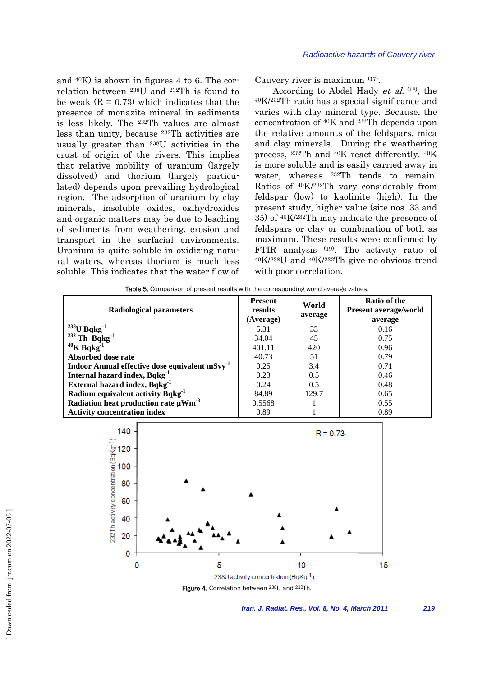and 40K) is shown in figures 4 to 6. The correlation between 238U and 232Th is found to be weak  $(R = 0.73)$  which indicates that the presence of monazite mineral in sediments is less likely. The 232Th values are almost less than unity, because 232Th activities are usually greater than 238U activities in the crust of origin of the rivers. This implies that relative mobility of uranium (largely dissolved) and thorium (largely particulated) depends upon prevailing hydrological region. The adsorption of uranium by clay minerals, insoluble oxides, oxihydroxides and organic matters may be due to leaching of sediments from weathering, erosion and transport in the surfacial environments. Uranium is quite soluble in oxidizing natural waters, whereas thorium is much less soluble. This indicates that the water flow of

Cauvery river is maximum (17).

According to Abdel Hady et al. (18), the 40K/232Th ratio has a special significance and varies with clay mineral type. Because, the concentration of 40K and 232Th depends upon the relative amounts of the feldspars, mica and clay minerals. During the weathering process, 232Th and 40K react differently. 40K is more soluble and is easily carried away in water, whereas <sup>232</sup>Th tends to remain. Ratios of 40K/232Th vary considerably from feldspar (low) to kaolinite (high). In the present study, higher value (site nos. 33 and 35) of 40K/232Th may indicate the presence of feldspars or clay or combination of both as maximum. These results were confirmed by FTIR analysis (19). The activity ratio of 40K/238U and 40K/232Th give no obvious trend with poor correlation.

| Radiological parameters                                   | <b>Present</b><br>results<br>(Average) | World<br>average | <b>Ratio of the</b><br>Present average/world<br>average |  |
|-----------------------------------------------------------|----------------------------------------|------------------|---------------------------------------------------------|--|
| $\frac{^{238}U Bqkg^1}{^{232}Th Bqkg^1}$                  | 5.31                                   | 33               | 0.16                                                    |  |
|                                                           | 34.04                                  | 45               | 0.75                                                    |  |
| $40$ K Bqkg $^{-1}$                                       | 401.11                                 | 420              | 0.96                                                    |  |
| Absorbed dose rate                                        | 40.73                                  | 51               | 0.79                                                    |  |
| Indoor Annual effective dose equivalent mSvy <sup>1</sup> | 0.25                                   | 3.4              | 0.71                                                    |  |
| Internal hazard index, Bqkg <sup>1</sup>                  | 0.23                                   | 0.5              | 0.46                                                    |  |
| External hazard index, Bqkg <sup>1</sup>                  | 0.24                                   | 0.5              | 0.48                                                    |  |
| Radium equivalent activity Bqkg <sup>-1</sup>             | 84.89                                  | 129.7            | 0.65                                                    |  |
| Radiation heat production rate $\mu$ Wm <sup>-3</sup>     | 0.5568                                 |                  | 0.55                                                    |  |
| <b>Activity concentration index</b>                       | 0.89                                   |                  | 0.89                                                    |  |

Table 5. Comparison of present results with the corresponding world average values.

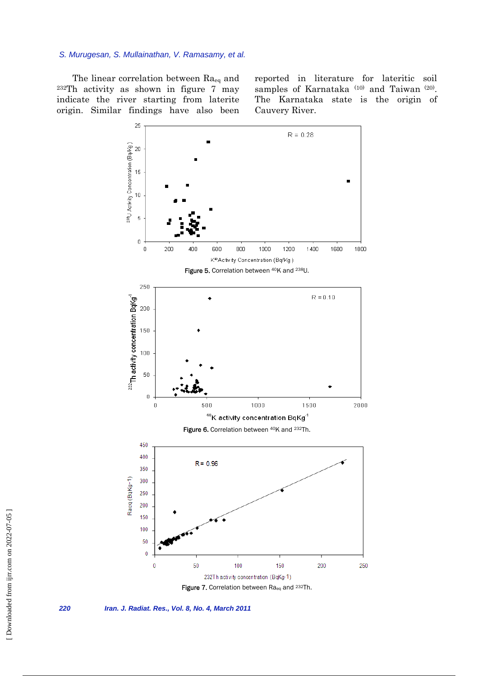The linear correlation between Raeq and 232Th activity as shown in figure 7 may indicate the river starting from laterite origin. Similar findings have also been

reported in literature for lateritic soil samples of Karnataka<sup>(10)</sup> and Taiwan<sup>(20)</sup>. The Karnataka state is the origin of Cauvery River.



*220 Iran. J. Radiat. Res., Vol. 8, No. 4, March 2011*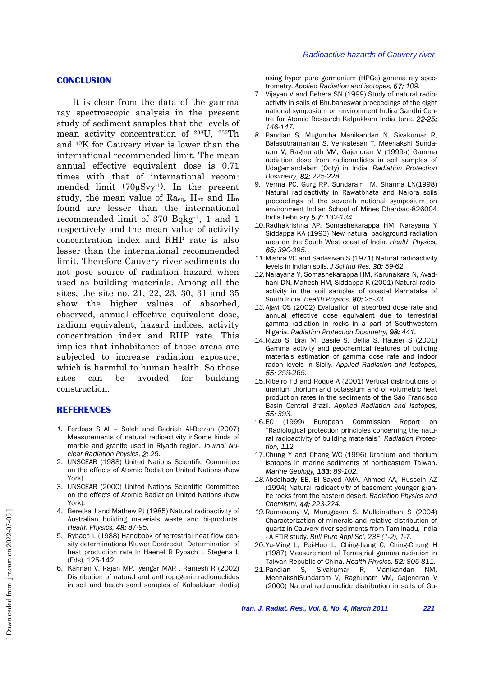# **CONCLUSION**

It is clear from the data of the gamma ray spectroscopic analysis in the present study of sediment samples that the levels of mean activity concentration of 238U, 232Th and 40K for Cauvery river is lower than the international recommended limit. The mean annual effective equivalent dose is 0.71 times with that of international recommended limit  $(70\mu Svy^{-1})$ . In the present study, the mean value of  $Ra_{eq}$ ,  $H_{ex}$  and  $H_{in}$ found are lesser than the international recommended limit of 370 Bqkg‑1, 1 and 1 respectively and the mean value of activity concentration index and RHP rate is also lesser than the international recommended limit. Therefore Cauvery river sediments do not pose source of radiation hazard when used as building materials. Among all the sites, the site no. 21, 22, 23, 30, 31 and 35 show the higher values of absorbed, observed, annual effective equivalent dose, radium equivalent, hazard indices, activity concentration index and RHP rate. This implies that inhabitance of those areas are subjected to increase radiation exposure, which is harmful to human health. So those sites can be avoided for building construction.

# **REFERENCES**

- *1.* Ferdoas S Al Saleh and Badriah Al-Berzan (2007) Measurements of natural radioactivity inSome kinds of marble and granite used in Riyadh region. *Journal Nuclear Radiation Physics, 2: 25.*
- 2. UNSCEAR (1988) United Nations Scientific Committee on the effects of Atomic Radiation United Nations (New York).
- 3. UNSCEAR (2000) United Nations Scientific Committee on the effects of Atomic Radiation United Nations (New York).
- 4. Beretka J and Mathew PJ (1985) Natural radioactivity of Australian building materials waste and bi-products. *Health Physics, 48: 87-95.*
- 5. Rybach L (1988) Handbook of terrestrial heat flow density determinations Kluwer Dordredut. Determination of heat production rate In Haenel R Rybach L Stegena L (Eds), 125-142.
- 6. Kannan V, Rajan MP, Iyengar MAR , Ramesh R (2002) Distribution of natural and anthropogenic radionuclides in soil and beach sand samples of Kalpakkam (India)

using hyper pure germanium (HPGe) gamma ray spectrometry. *Applied Radiation and isotopes, 57: 109.*

- 7. Vijayan V and Behera SN (1999) Study of natural radioactivity in soils of Bhubaneswar proceedings of the eight national symposium on environment Indira Gandhi Centre for Atomic Research Kalpakkam India June. *22-25: 146-147.*
- *8.* Pandian S, Muguntha Manikandan N, Sivakumar R, Balasubramanian S, Venkatesan T, Meenakshi Sundaram V, Raghunath VM, Gajendran V (1999a) Gamma radiation dose from radionuclides in soil samples of Udagamandalam (Ooty) in India. *Radiation Protection Dosimetry, 82: 225-228.*
- 9. Verma PC, Gurg RP, Sundaram M, Sharma LN(1998) Natural radioactivity in Rawatbhata and Narora soils proceedings of the seventh national symposium on environment Indian School of Mines Dhanbad-826004 India February *5-7: 132-134.*
- 10. Radhakrishna AP, Somashekarappa HM, Narayana Y Siddappa KA (1993) New natural background radiation area on the South West coast of India. *Health Physics, 65: 390-395.*
- *11.* Mishra VC and Sadasivan S (1971) Natural radioactivity levels in Indian soils. *J Sci Ind Res, 30: 59-62.*
- *12.* Narayana Y, Somashekarappa HM, Karunakara N, Avadhani DN, Mahesh HM, Siddappa K (2001) Natural radioactivity in the soil samples of coastal Karnataka of South India. *Health Physics, 80: 25-33.*
- *13.* Ajayi OS (2002) Evaluation of absorbed dose rate and annual effective dose equivalent due to terrestrial gamma radiation in rocks in a part of Southwestern Nigeria. *Radiation Protection Dosimetry, 98: 441.*
- 14. Rizzo S, Brai M, Basile S, Bellia S, Hauser S (2001) Gamma activity and geochemical features of building materials estimation of gamma dose rate and indoor radon levels in Sicily. *Applied Radiation and Isotopes, 55: 259-265.*
- 15. Ribeiro FB and Roque A (2001) Vertical distributions of uranium thorium and potassium and of volumetric heat production rates in the sediments of the São Francisco Basin Central Brazil. *Applied Radiation and Isotopes, 55: 393.*
- 16. EC (1999) European Commission Report on "Radiological protection principles concerning the natural radioactivity of building materials". *Radiation Protection, 112.*
- 17. Chung Y and Chang WC (1996) Uranium and thorium isotopes in marine sediments of northeastern Taiwan. *Marine Geology, 133: 89-102.*
- 18. Abdelhady EE, El Sayed AMA, Ahmed AA, Hussein AZ (1994) Natural radioactivity of basement younger granite rocks from the eastern desert. *Radiation Physics and Chemistry, 44: 223-224.*
- *19.* Ramasamy V, Murugesan S, Mullainathan S (2004) Characterization of minerals and relative distribution of quartz in Cauvery river sediments from Tamilnadu, India - A FTIR study. *Bull Pure Appl Sci, 23F (1-2), 1-7.*
- 20. Yu-Ming L, Pei-Huo L, Ching-Jiang C, Ching-Chung H (1987) Measurement of Terrestrial gamma radiation in Taiwan Republic of China. *Health Physics, 52: 805-811.*
- 21. Pandian S, Sivakumar R, Manikandan NM, MeenakshiSundaram V, Raghunath VM, Gajendran V (2000) Natural radionuclide distribution in soils of Gu-